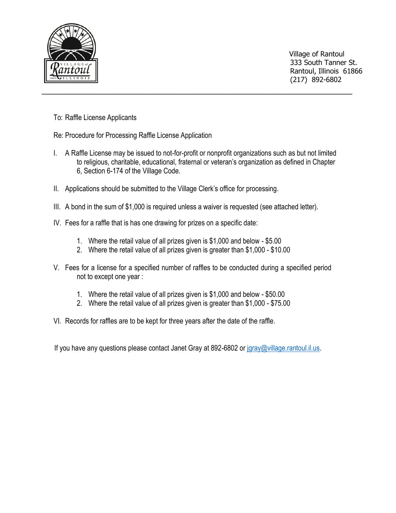

 Village of Rantoul 333 South Tanner St. Rantoul, Illinois 61866 (217) 892-6802

To: Raffle License Applicants

Re: Procedure for Processing Raffle License Application

I. A Raffle License may be issued to not-for-profit or nonprofit organizations such as but not limited to religious, charitable, educational, fraternal or veteran's organization as defined in Chapter 6, Section 6-174 of the Village Code.

**\_\_\_\_\_\_\_\_\_\_\_\_\_\_\_\_\_\_\_\_\_\_\_\_\_\_\_\_\_\_\_\_\_\_\_\_\_\_\_\_\_\_\_\_\_\_\_\_\_\_\_\_\_\_\_\_\_\_\_\_\_\_\_\_\_\_\_\_\_\_\_\_\_\_\_\_\_\_\_\_**

- II. Applications should be submitted to the Village Clerk's office for processing.
- III. A bond in the sum of \$1,000 is required unless a waiver is requested (see attached letter).
- IV. Fees for a raffle that is has one drawing for prizes on a specific date:
	- 1. Where the retail value of all prizes given is \$1,000 and below \$5.00
	- 2. Where the retail value of all prizes given is greater than \$1,000 \$10.00
- V. Fees for a license for a specified number of raffles to be conducted during a specified period not to except one year :
	- 1. Where the retail value of all prizes given is \$1,000 and below \$50.00
	- 2. Where the retail value of all prizes given is greater than \$1,000 \$75.00
- VI. Records for raffles are to be kept for three years after the date of the raffle.

If you have any questions please contact Janet Gray at 892-6802 or [jgray@village.rantoul.il.us.](mailto:jgray@village.rantoul.il.us)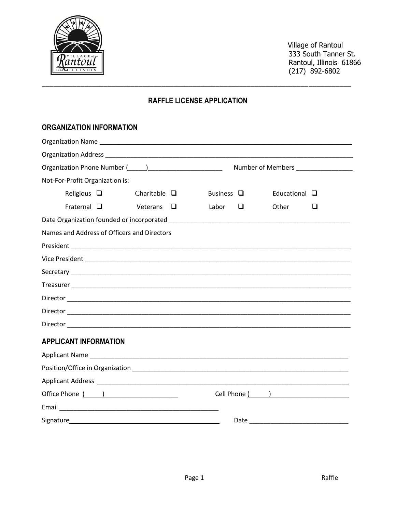

 Village of Rantoul 333 South Tanner St. Rantoul, Illinois 61866 (217) 892-6802

# **RAFFLE LICENSE APPLICATION**

**\_\_\_\_\_\_\_\_\_\_\_\_\_\_\_\_\_\_\_\_\_\_\_\_\_\_\_\_\_\_\_\_\_\_\_\_\_\_\_\_\_\_\_\_\_\_\_\_\_\_\_\_\_\_\_\_\_\_\_\_\_\_\_\_\_\_\_\_\_\_\_\_\_\_\_\_\_\_\_\_**

## **ORGANIZATION INFORMATION**

| Organization Phone Number (1, 2020)         |                   |        |                 |   |                       | Number of Members ________________ |
|---------------------------------------------|-------------------|--------|-----------------|---|-----------------------|------------------------------------|
| Not-For-Profit Organization is:             |                   |        |                 |   |                       |                                    |
| Religious $\Box$                            | Charitable $\Box$ |        | Business $\Box$ |   | Educational $\square$ |                                    |
| Fraternal $\Box$                            | Veterans          | $\Box$ | Labor           | ◻ | Other                 | ப                                  |
|                                             |                   |        |                 |   |                       |                                    |
| Names and Address of Officers and Directors |                   |        |                 |   |                       |                                    |
|                                             |                   |        |                 |   |                       |                                    |
|                                             |                   |        |                 |   |                       |                                    |
|                                             |                   |        |                 |   |                       |                                    |
|                                             |                   |        |                 |   |                       |                                    |
|                                             |                   |        |                 |   |                       |                                    |
|                                             |                   |        |                 |   |                       |                                    |
|                                             |                   |        |                 |   |                       |                                    |
| <b>APPLICANT INFORMATION</b>                |                   |        |                 |   |                       |                                    |
|                                             |                   |        |                 |   |                       |                                    |
|                                             |                   |        |                 |   |                       |                                    |
|                                             |                   |        |                 |   |                       |                                    |
|                                             |                   |        |                 |   |                       |                                    |
|                                             |                   |        |                 |   |                       |                                    |
|                                             |                   |        |                 |   |                       |                                    |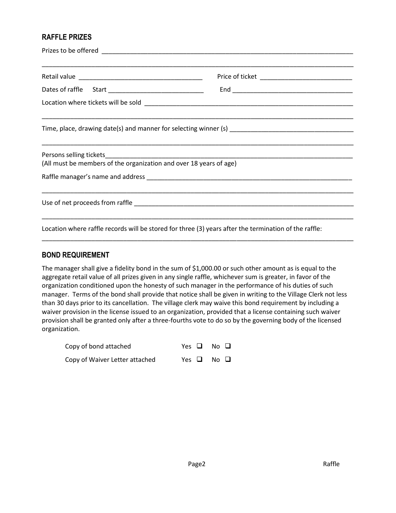### **RAFFLE PRIZES**

| (All must be members of the organization and over 18 years of age) | <u> 1990 - Jan James James James James James James James James James James James James James James James James</u> |  |  |  |
|--------------------------------------------------------------------|--------------------------------------------------------------------------------------------------------------------|--|--|--|
|                                                                    |                                                                                                                    |  |  |  |
|                                                                    | ,我们也不能在这里的时候,我们也不能在这里的时候,我们也不能在这里的时候,我们也不能会在这里的时候,我们也不能会在这里的时候,我们也不能会在这里的时候,我们也不                                   |  |  |  |
|                                                                    | Location where raffle records will be stored for three (3) years after the termination of the raffle:              |  |  |  |

#### **BOND REQUIREMENT**

The manager shall give a fidelity bond in the sum of \$1,000.00 or such other amount as is equal to the aggregate retail value of all prizes given in any single raffle, whichever sum is greater, in favor of the organization conditioned upon the honesty of such manager in the performance of his duties of such manager. Terms of the bond shall provide that notice shall be given in writing to the Village Clerk not less than 30 days prior to its cancellation. The village clerk may waive this bond requirement by including a waiver provision in the license issued to an organization, provided that a license containing such waiver provision shall be granted only after a three-fourths vote to do so by the governing body of the licensed organization.

\_\_\_\_\_\_\_\_\_\_\_\_\_\_\_\_\_\_\_\_\_\_\_\_\_\_\_\_\_\_\_\_\_\_\_\_\_\_\_\_\_\_\_\_\_\_\_\_\_\_\_\_\_\_\_\_\_\_\_\_\_\_\_\_\_\_\_\_\_\_\_\_\_\_\_\_\_\_\_\_\_\_\_\_\_\_\_\_

| Copy of bond attached          | Yes $\Box$ No $\Box$ |  |
|--------------------------------|----------------------|--|
| Copy of Waiver Letter attached | Yes $\Box$ No $\Box$ |  |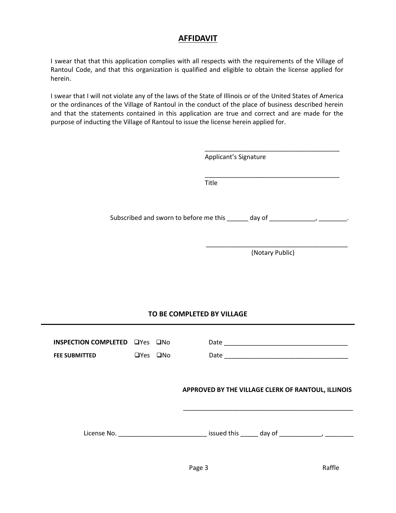## **AFFIDAVIT**

I swear that that this application complies with all respects with the requirements of the Village of Rantoul Code, and that this organization is qualified and eligible to obtain the license applied for herein.

I swear that I will not violate any of the laws of the State of Illinois or of the United States of America or the ordinances of the Village of Rantoul in the conduct of the place of business described herein and that the statements contained in this application are true and correct and are made for the purpose of inducting the Village of Rantoul to issue the license herein applied for.

| Applicant's Signature                                                             |
|-----------------------------------------------------------------------------------|
| Title                                                                             |
| Subscribed and sworn to before me this ______ day of ____________________________ |
|                                                                                   |

### **TO BE COMPLETED BY VILLAGE**

| INSPECTION COMPLETED TYes The<br><b>FEE SUBMITTED</b> | $\Box$ Yes $\Box$ No | Date                                               |
|-------------------------------------------------------|----------------------|----------------------------------------------------|
|                                                       |                      | APPROVED BY THE VILLAGE CLERK OF RANTOUL, ILLINOIS |
| License No.                                           |                      | issued this day of                                 |